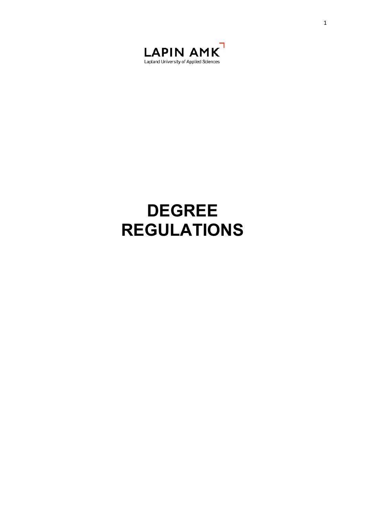

# **DEGREE REGULATIONS**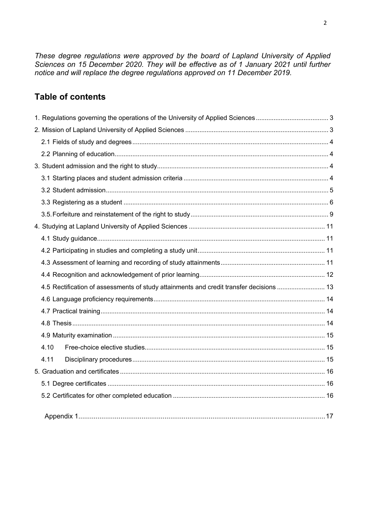*These degree regulations were approved by the board of Lapland University of Applied Sciences on 15 December 2020. They will be effective as of 1 January 2021 until further notice and will replace the degree regulations approved on 11 December 2019.*

# **Table of contents**

|  |      | 4.5 Rectification of assessments of study attainments and credit transfer decisions  13 |  |
|--|------|-----------------------------------------------------------------------------------------|--|
|  |      |                                                                                         |  |
|  |      |                                                                                         |  |
|  |      |                                                                                         |  |
|  |      |                                                                                         |  |
|  | 4.10 |                                                                                         |  |
|  | 4.11 |                                                                                         |  |
|  |      |                                                                                         |  |
|  |      |                                                                                         |  |
|  |      |                                                                                         |  |
|  |      |                                                                                         |  |
|  |      |                                                                                         |  |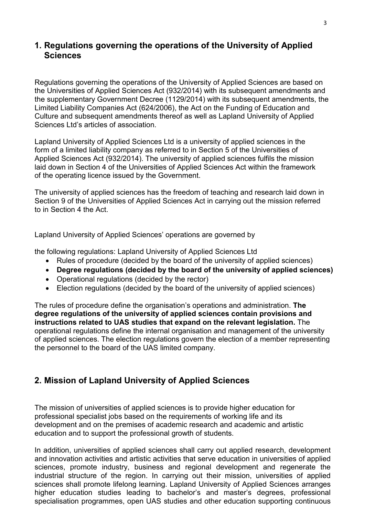# <span id="page-2-0"></span>**1. Regulations governing the operations of the University of Applied Sciences**

Regulations governing the operations of the University of Applied Sciences are based on the Universities of Applied Sciences Act (932/2014) with its subsequent amendments and the supplementary Government Decree (1129/2014) with its subsequent amendments, the Limited Liability Companies Act (624/2006), the Act on the Funding of Education and Culture and subsequent amendments thereof as well as Lapland University of Applied Sciences Ltd's articles of association

Lapland University of Applied Sciences Ltd is a university of applied sciences in the form of a limited liability company as referred to in Section 5 of the Universities of Applied Sciences Act (932/2014). The university of applied sciences fulfils the mission laid down in Section 4 of the Universities of Applied Sciences Act within the framework of the operating licence issued by the Government.

The university of applied sciences has the freedom of teaching and research laid down in Section 9 of the Universities of Applied Sciences Act in carrying out the mission referred to in Section 4 the Act.

Lapland University of Applied Sciences' operations are governed by

the following regulations: Lapland University of Applied Sciences Ltd

- Rules of procedure (decided by the board of the university of applied sciences)
- **Degree regulations (decided by the board of the university of applied sciences)**
- Operational regulations (decided by the rector)
- Election regulations (decided by the board of the university of applied sciences)

The rules of procedure define the organisation's operations and administration. **The degree regulations of the university of applied sciences contain provisions and instructions related to UAS studies that expand on the relevant legislation.** The operational regulations define the internal organisation and management of the university of applied sciences. The election regulations govern the election of a member representing the personnel to the board of the UAS limited company.

# <span id="page-2-1"></span>**2. Mission of Lapland University of Applied Sciences**

The mission of universities of applied sciences is to provide higher education for professional specialist jobs based on the requirements of working life and its development and on the premises of academic research and academic and artistic education and to support the professional growth of students.

In addition, universities of applied sciences shall carry out applied research, development and innovation activities and artistic activities that serve education in universities of applied sciences, promote industry, business and regional development and regenerate the industrial structure of the region. In carrying out their mission, universities of applied sciences shall promote lifelong learning. Lapland University of Applied Sciences arranges higher education studies leading to bachelor's and master's degrees, professional specialisation programmes, open UAS studies and other education supporting continuous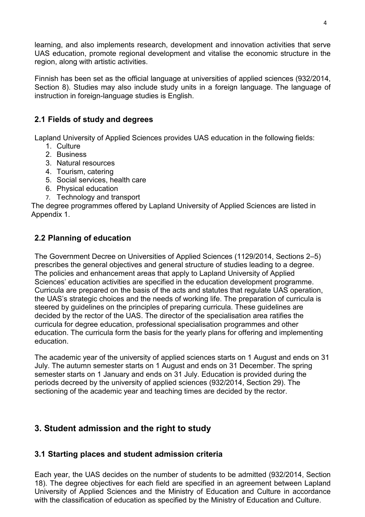learning, and also implements research, development and innovation activities that serve UAS education, promote regional development and vitalise the economic structure in the region, along with artistic activities.

Finnish has been set as the official language at universities of applied sciences (932/2014, Section 8). Studies may also include study units in a foreign language. The language of instruction in foreign-language studies is English.

# <span id="page-3-0"></span>**2.1 Fields of study and degrees**

Lapland University of Applied Sciences provides UAS education in the following fields:

- 1. Culture
- 2. Business
- 3. Natural resources
- 4. Tourism, catering
- 5. Social services, health care
- 6. Physical education
- 7. Technology and transport

The degree programmes offered by Lapland University of Applied Sciences are listed in Appendix 1.

# <span id="page-3-1"></span>**2.2 Planning of education**

The Government Decree on Universities of Applied Sciences (1129/2014, Sections 2–5) prescribes the general objectives and general structure of studies leading to a degree. The policies and enhancement areas that apply to Lapland University of Applied Sciences' education activities are specified in the education development programme. Curricula are prepared on the basis of the acts and statutes that regulate UAS operation, the UAS's strategic choices and the needs of working life. The preparation of curricula is steered by guidelines on the principles of preparing curricula. These guidelines are decided by the rector of the UAS. The director of the specialisation area ratifies the curricula for degree education, professional specialisation programmes and other education. The curricula form the basis for the yearly plans for offering and implementing education.

The academic year of the university of applied sciences starts on 1 August and ends on 31 July. The autumn semester starts on 1 August and ends on 31 December. The spring semester starts on 1 January and ends on 31 July. Education is provided during the periods decreed by the university of applied sciences (932/2014, Section 29). The sectioning of the academic year and teaching times are decided by the rector.

# <span id="page-3-2"></span>**3. Student admission and the right to study**

# <span id="page-3-3"></span>**3.1 Starting places and student admission criteria**

Each year, the UAS decides on the number of students to be admitted (932/2014, Section 18). The degree objectives for each field are specified in an agreement between Lapland University of Applied Sciences and the Ministry of Education and Culture in accordance with the classification of education as specified by the Ministry of Education and Culture.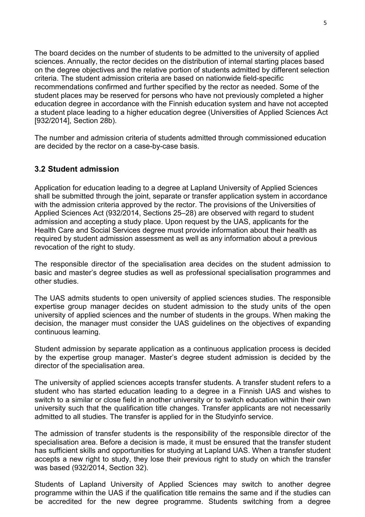The board decides on the number of students to be admitted to the university of applied sciences. Annually, the rector decides on the distribution of internal starting places based on the degree objectives and the relative portion of students admitted by different selection criteria. The student admission criteria are based on nationwide field-specific recommendations confirmed and further specified by the rector as needed. Some of the student places may be reserved for persons who have not previously completed a higher education degree in accordance with the Finnish education system and have not accepted a student place leading to a higher education degree (Universities of Applied Sciences Act [932/2014], Section 28b).

The number and admission criteria of students admitted through commissioned education are decided by the rector on a case-by-case basis.

#### <span id="page-4-0"></span>**3.2 Student admission**

Application for education leading to a degree at Lapland University of Applied Sciences shall be submitted through the joint, separate or transfer application system in accordance with the admission criteria approved by the rector. The provisions of the Universities of Applied Sciences Act (932/2014, Sections 25–28) are observed with regard to student admission and accepting a study place. Upon request by the UAS, applicants for the Health Care and Social Services degree must provide information about their health as required by student admission assessment as well as any information about a previous revocation of the right to study.

The responsible director of the specialisation area decides on the student admission to basic and master's degree studies as well as professional specialisation programmes and other studies.

The UAS admits students to open university of applied sciences studies. The responsible expertise group manager decides on student admission to the study units of the open university of applied sciences and the number of students in the groups. When making the decision, the manager must consider the UAS guidelines on the objectives of expanding continuous learning.

Student admission by separate application as a continuous application process is decided by the expertise group manager. Master's degree student admission is decided by the director of the specialisation area.

The university of applied sciences accepts transfer students. A transfer student refers to a student who has started education leading to a degree in a Finnish UAS and wishes to switch to a similar or close field in another university or to switch education within their own university such that the qualification title changes. Transfer applicants are not necessarily admitted to all studies. The transfer is applied for in the Studyinfo service.

The admission of transfer students is the responsibility of the responsible director of the specialisation area. Before a decision is made, it must be ensured that the transfer student has sufficient skills and opportunities for studying at Lapland UAS. When a transfer student accepts a new right to study, they lose their previous right to study on which the transfer was based (932/2014, Section 32).

Students of Lapland University of Applied Sciences may switch to another degree programme within the UAS if the qualification title remains the same and if the studies can be accredited for the new degree programme. Students switching from a degree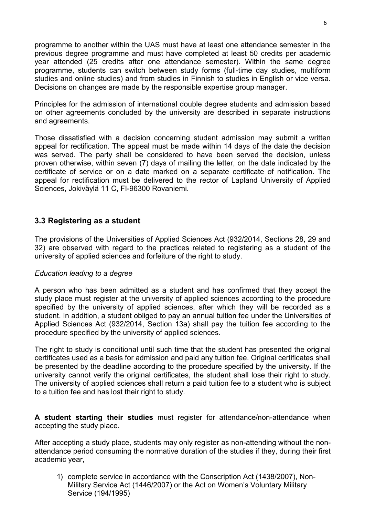programme to another within the UAS must have at least one attendance semester in the previous degree programme and must have completed at least 50 credits per academic year attended (25 credits after one attendance semester). Within the same degree programme, students can switch between study forms (full-time day studies, multiform studies and online studies) and from studies in Finnish to studies in English or vice versa. Decisions on changes are made by the responsible expertise group manager.

Principles for the admission of international double degree students and admission based on other agreements concluded by the university are described in separate instructions and agreements.

Those dissatisfied with a decision concerning student admission may submit a written appeal for rectification. The appeal must be made within 14 days of the date the decision was served. The party shall be considered to have been served the decision, unless proven otherwise, within seven (7) days of mailing the letter, on the date indicated by the certificate of service or on a date marked on a separate certificate of notification. The appeal for rectification must be delivered to the rector of Lapland University of Applied Sciences, Jokiväylä 11 C, FI-96300 Rovaniemi.

## <span id="page-5-0"></span>**3.3 Registering as a student**

The provisions of the Universities of Applied Sciences Act (932/2014, Sections 28, 29 and 32) are observed with regard to the practices related to registering as a student of the university of applied sciences and forfeiture of the right to study.

#### *Education leading to a degree*

A person who has been admitted as a student and has confirmed that they accept the study place must register at the university of applied sciences according to the procedure specified by the university of applied sciences, after which they will be recorded as a student. In addition, a student obliged to pay an annual tuition fee under the Universities of Applied Sciences Act (932/2014, Section 13a) shall pay the tuition fee according to the procedure specified by the university of applied sciences.

The right to study is conditional until such time that the student has presented the original certificates used as a basis for admission and paid any tuition fee. Original certificates shall be presented by the deadline according to the procedure specified by the university. If the university cannot verify the original certificates, the student shall lose their right to study. The university of applied sciences shall return a paid tuition fee to a student who is subject to a tuition fee and has lost their right to study.

**A student starting their studies** must register for attendance/non-attendance when accepting the study place.

After accepting a study place, students may only register as non-attending without the nonattendance period consuming the normative duration of the studies if they, during their first academic year,

1) complete service in accordance with the Conscription Act (1438/2007), Non-Military Service Act (1446/2007) or the Act on Women's Voluntary Military Service (194/1995)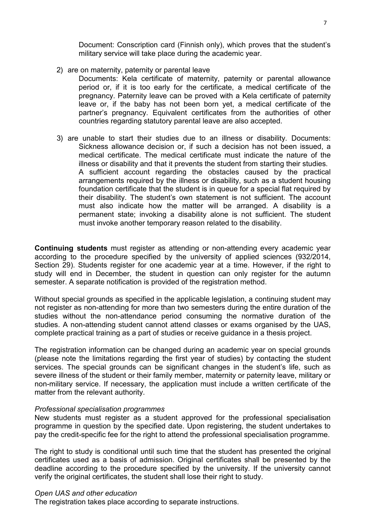Document: Conscription card (Finnish only), which proves that the student's military service will take place during the academic year.

2) are on maternity, paternity or parental leave

Documents: Kela certificate of maternity, paternity or parental allowance period or, if it is too early for the certificate, a medical certificate of the pregnancy. Paternity leave can be proved with a Kela certificate of paternity leave or, if the baby has not been born yet, a medical certificate of the partner's pregnancy. Equivalent certificates from the authorities of other countries regarding statutory parental leave are also accepted.

3) are unable to start their studies due to an illness or disability. Documents: Sickness allowance decision or, if such a decision has not been issued, a medical certificate. The medical certificate must indicate the nature of the illness or disability and that it prevents the student from starting their studies. A sufficient account regarding the obstacles caused by the practical arrangements required by the illness or disability, such as a student housing foundation certificate that the student is in queue for a special flat required by their disability. The student's own statement is not sufficient. The account must also indicate how the matter will be arranged. A disability is a permanent state; invoking a disability alone is not sufficient. The student must invoke another temporary reason related to the disability.

**Continuing students** must register as attending or non-attending every academic year according to the procedure specified by the university of applied sciences (932/2014, Section 29). Students register for one academic year at a time. However, if the right to study will end in December, the student in question can only register for the autumn semester. A separate notification is provided of the registration method.

Without special grounds as specified in the applicable legislation, a continuing student may not register as non-attending for more than two semesters during the entire duration of the studies without the non-attendance period consuming the normative duration of the studies. A non-attending student cannot attend classes or exams organised by the UAS, complete practical training as a part of studies or receive guidance in a thesis project.

The registration information can be changed during an academic year on special grounds (please note the limitations regarding the first year of studies) by contacting the student services. The special grounds can be significant changes in the student's life, such as severe illness of the student or their family member, maternity or paternity leave, military or non-military service. If necessary, the application must include a written certificate of the matter from the relevant authority.

#### *Professional specialisation programmes*

New students must register as a student approved for the professional specialisation programme in question by the specified date. Upon registering, the student undertakes to pay the credit-specific fee for the right to attend the professional specialisation programme.

The right to study is conditional until such time that the student has presented the original certificates used as a basis of admission. Original certificates shall be presented by the deadline according to the procedure specified by the university. If the university cannot verify the original certificates, the student shall lose their right to study.

#### *Open UAS and other education*

The registration takes place according to separate instructions.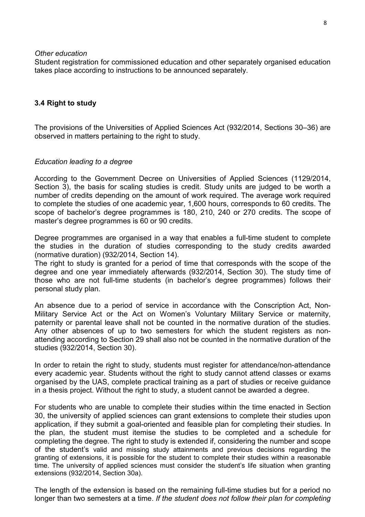#### *Other education*

Student registration for commissioned education and other separately organised education takes place according to instructions to be announced separately.

#### **3.4 Right to study**

The provisions of the Universities of Applied Sciences Act (932/2014, Sections 30–36) are observed in matters pertaining to the right to study.

#### *Education leading to a degree*

According to the Government Decree on Universities of Applied Sciences (1129/2014, Section 3), the basis for scaling studies is credit. Study units are judged to be worth a number of credits depending on the amount of work required. The average work required to complete the studies of one academic year, 1,600 hours, corresponds to 60 credits. The scope of bachelor's degree programmes is 180, 210, 240 or 270 credits. The scope of master's degree programmes is 60 or 90 credits.

Degree programmes are organised in a way that enables a full-time student to complete the studies in the duration of studies corresponding to the study credits awarded (normative duration) (932/2014, Section 14).

The right to study is granted for a period of time that corresponds with the scope of the degree and one year immediately afterwards (932/2014, Section 30). The study time of those who are not full-time students (in bachelor's degree programmes) follows their personal study plan.

An absence due to a period of service in accordance with the Conscription Act, Non-Military Service Act or the Act on Women's Voluntary Military Service or maternity, paternity or parental leave shall not be counted in the normative duration of the studies. Any other absences of up to two semesters for which the student registers as nonattending according to Section 29 shall also not be counted in the normative duration of the studies (932/2014, Section 30).

In order to retain the right to study, students must register for attendance/non-attendance every academic year. Students without the right to study cannot attend classes or exams organised by the UAS, complete practical training as a part of studies or receive guidance in a thesis project. Without the right to study, a student cannot be awarded a degree.

For students who are unable to complete their studies within the time enacted in Section 30, the university of applied sciences can grant extensions to complete their studies upon application*,* if they submit a goal-oriented and feasible plan for completing their studies. In the plan, the student must itemise the studies to be completed and a schedule for completing the degree. The right to study is extended if, considering the number and scope of the student's valid and missing study attainments and previous decisions regarding the granting of extensions, it is possible for the student to complete their studies within a reasonable time. The university of applied sciences must consider the student's life situation when granting extensions (932/2014, Section 30a).

The length of the extension is based on the remaining full-time studies but for a period no longer than two semesters at a time. *If the student does not follow their plan for completing*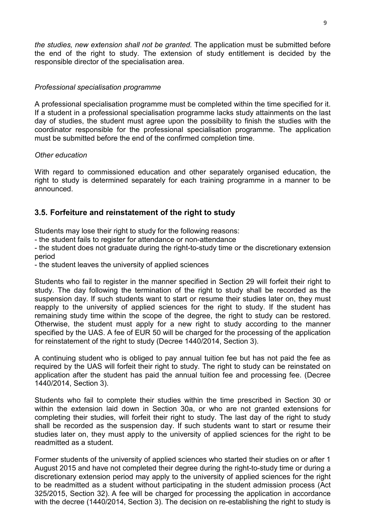*the studies, new extension shall not be granted.* The application must be submitted before the end of the right to study. The extension of study entitlement is decided by the responsible director of the specialisation area.

#### *Professional specialisation programme*

A professional specialisation programme must be completed within the time specified for it. If a student in a professional specialisation programme lacks study attainments on the last day of studies, the student must agree upon the possibility to finish the studies with the coordinator responsible for the professional specialisation programme. The application must be submitted before the end of the confirmed completion time.

#### *Other education*

With regard to commissioned education and other separately organised education, the right to study is determined separately for each training programme in a manner to be announced.

# <span id="page-8-0"></span>**3.5. Forfeiture and reinstatement of the right to study**

Students may lose their right to study for the following reasons:

- the student fails to register for attendance or non-attendance

- the student does not graduate during the right-to-study time or the discretionary extension period

- the student leaves the university of applied sciences

Students who fail to register in the manner specified in Section 29 will forfeit their right to study. The day following the termination of the right to study shall be recorded as the suspension day. If such students want to start or resume their studies later on, they must reapply to the university of applied sciences for the right to study. If the student has remaining study time within the scope of the degree, the right to study can be restored. Otherwise, the student must apply for a new right to study according to the manner specified by the UAS. A fee of EUR 50 will be charged for the processing of the application for reinstatement of the right to study (Decree 1440/2014, Section 3).

A continuing student who is obliged to pay annual tuition fee but has not paid the fee as required by the UAS will forfeit their right to study. The right to study can be reinstated on application after the student has paid the annual tuition fee and processing fee. (Decree 1440/2014, Section 3).

Students who fail to complete their studies within the time prescribed in Section 30 or within the extension laid down in Section 30a, or who are not granted extensions for completing their studies, will forfeit their right to study. The last day of the right to study shall be recorded as the suspension day. If such students want to start or resume their studies later on, they must apply to the university of applied sciences for the right to be readmitted as a student.

Former students of the university of applied sciences who started their studies on or after 1 August 2015 and have not completed their degree during the right-to-study time or during a discretionary extension period may apply to the university of applied sciences for the right to be readmitted as a student without participating in the student admission process (Act 325/2015, Section 32). A fee will be charged for processing the application in accordance with the decree (1440/2014, Section 3). The decision on re-establishing the right to study is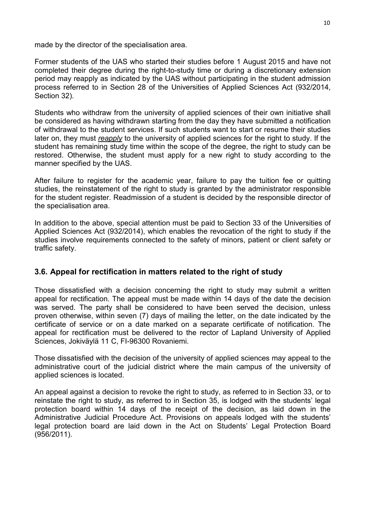made by the director of the specialisation area.

Former students of the UAS who started their studies before 1 August 2015 and have not completed their degree during the right-to-study time or during a discretionary extension period may reapply as indicated by the UAS without participating in the student admission process referred to in Section 28 of the Universities of Applied Sciences Act (932/2014, Section 32).

Students who withdraw from the university of applied sciences of their own initiative shall be considered as having withdrawn starting from the day they have submitted a notification of withdrawal to the student services. If such students want to start or resume their studies later on, they must *reapply* to the university of applied sciences for the right to study. If the student has remaining study time within the scope of the degree, the right to study can be restored. Otherwise, the student must apply for a new right to study according to the manner specified by the UAS.

After failure to register for the academic year, failure to pay the tuition fee or quitting studies, the reinstatement of the right to study is granted by the administrator responsible for the student register. Readmission of a student is decided by the responsible director of the specialisation area.

In addition to the above, special attention must be paid to Section 33 of the Universities of Applied Sciences Act (932/2014), which enables the revocation of the right to study if the studies involve requirements connected to the safety of minors, patient or client safety or traffic safety.

# **3.6. Appeal for rectification in matters related to the right of study**

Those dissatisfied with a decision concerning the right to study may submit a written appeal for rectification. The appeal must be made within 14 days of the date the decision was served. The party shall be considered to have been served the decision, unless proven otherwise, within seven (7) days of mailing the letter, on the date indicated by the certificate of service or on a date marked on a separate certificate of notification. The appeal for rectification must be delivered to the rector of Lapland University of Applied Sciences, Jokiväylä 11 C, FI-96300 Rovaniemi.

Those dissatisfied with the decision of the university of applied sciences may appeal to the administrative court of the judicial district where the main campus of the university of applied sciences is located.

An appeal against a decision to revoke the right to study, as referred to in Section 33, or to reinstate the right to study, as referred to in Section 35, is lodged with the students' legal protection board within 14 days of the receipt of the decision, as laid down in the Administrative Judicial Procedure Act. Provisions on appeals lodged with the students' legal protection board are laid down in the Act on Students' Legal Protection Board (956/2011).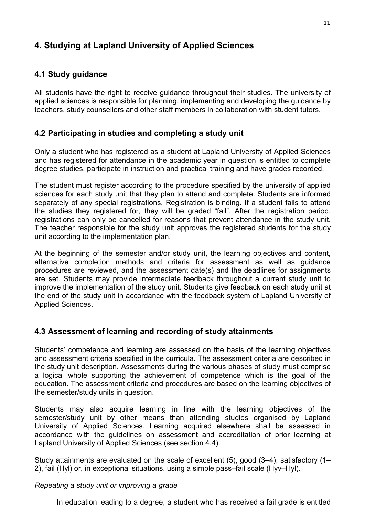# <span id="page-10-0"></span>**4. Studying at Lapland University of Applied Sciences**

# <span id="page-10-1"></span>**4.1 Study guidance**

All students have the right to receive guidance throughout their studies. The university of applied sciences is responsible for planning, implementing and developing the guidance by teachers, study counsellors and other staff members in collaboration with student tutors.

## <span id="page-10-2"></span>**4.2 Participating in studies and completing a study unit**

Only a student who has registered as a student at Lapland University of Applied Sciences and has registered for attendance in the academic year in question is entitled to complete degree studies, participate in instruction and practical training and have grades recorded.

The student must register according to the procedure specified by the university of applied sciences for each study unit that they plan to attend and complete. Students are informed separately of any special registrations. Registration is binding. If a student fails to attend the studies they registered for, they will be graded "fail". After the registration period, registrations can only be cancelled for reasons that prevent attendance in the study unit. The teacher responsible for the study unit approves the registered students for the study unit according to the implementation plan.

At the beginning of the semester and/or study unit, the learning objectives and content, alternative completion methods and criteria for assessment as well as guidance procedures are reviewed, and the assessment date(s) and the deadlines for assignments are set. Students may provide intermediate feedback throughout a current study unit to improve the implementation of the study unit. Students give feedback on each study unit at the end of the study unit in accordance with the feedback system of Lapland University of Applied Sciences.

# <span id="page-10-3"></span>**4.3 Assessment of learning and recording of study attainments**

Students' competence and learning are assessed on the basis of the learning objectives and assessment criteria specified in the curricula. The assessment criteria are described in the study unit description. Assessments during the various phases of study must comprise a logical whole supporting the achievement of competence which is the goal of the education. The assessment criteria and procedures are based on the learning objectives of the semester/study units in question.

Students may also acquire learning in line with the learning objectives of the semester/study unit by other means than attending studies organised by Lapland University of Applied Sciences. Learning acquired elsewhere shall be assessed in accordance with the guidelines on assessment and accreditation of prior learning at Lapland University of Applied Sciences (see section 4.4).

Study attainments are evaluated on the scale of excellent (5), good (3–4), satisfactory (1– 2), fail (Hyl) or, in exceptional situations, using a simple pass–fail scale (Hyv–Hyl).

#### *Repeating a study unit or improving a grade*

In education leading to a degree, a student who has received a fail grade is entitled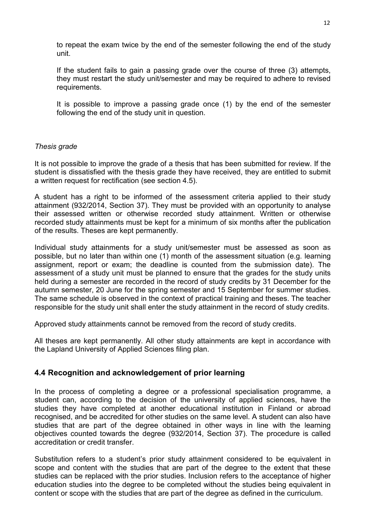to repeat the exam twice by the end of the semester following the end of the study unit.

If the student fails to gain a passing grade over the course of three (3) attempts, they must restart the study unit/semester and may be required to adhere to revised requirements.

It is possible to improve a passing grade once (1) by the end of the semester following the end of the study unit in question.

#### *Thesis grade*

It is not possible to improve the grade of a thesis that has been submitted for review. If the student is dissatisfied with the thesis grade they have received, they are entitled to submit a written request for rectification (see section 4.5).

A student has a right to be informed of the assessment criteria applied to their study attainment (932/2014, Section 37). They must be provided with an opportunity to analyse their assessed written or otherwise recorded study attainment. Written or otherwise recorded study attainments must be kept for a minimum of six months after the publication of the results. Theses are kept permanently.

Individual study attainments for a study unit/semester must be assessed as soon as possible, but no later than within one (1) month of the assessment situation (e.g. learning assignment, report or exam; the deadline is counted from the submission date). The assessment of a study unit must be planned to ensure that the grades for the study units held during a semester are recorded in the record of study credits by 31 December for the autumn semester, 20 June for the spring semester and 15 September for summer studies. The same schedule is observed in the context of practical training and theses. The teacher responsible for the study unit shall enter the study attainment in the record of study credits.

Approved study attainments cannot be removed from the record of study credits.

All theses are kept permanently. All other study attainments are kept in accordance with the Lapland University of Applied Sciences filing plan.

#### <span id="page-11-0"></span>**4.4 Recognition and acknowledgement of prior learning**

In the process of completing a degree or a professional specialisation programme, a student can, according to the decision of the university of applied sciences, have the studies they have completed at another educational institution in Finland or abroad recognised, and be accredited for other studies on the same level. A student can also have studies that are part of the degree obtained in other ways in line with the learning objectives counted towards the degree (932/2014, Section 37). The procedure is called accreditation or credit transfer.

Substitution refers to a student's prior study attainment considered to be equivalent in scope and content with the studies that are part of the degree to the extent that these studies can be replaced with the prior studies. Inclusion refers to the acceptance of higher education studies into the degree to be completed without the studies being equivalent in content or scope with the studies that are part of the degree as defined in the curriculum.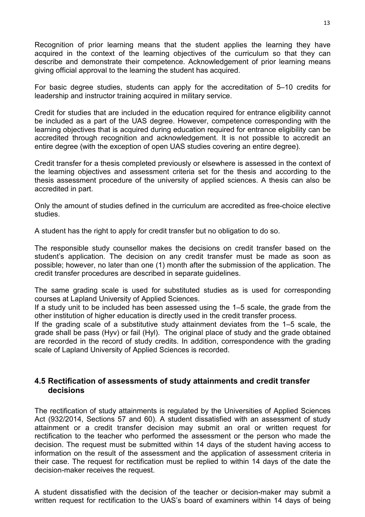Recognition of prior learning means that the student applies the learning they have acquired in the context of the learning objectives of the curriculum so that they can describe and demonstrate their competence. Acknowledgement of prior learning means giving official approval to the learning the student has acquired.

For basic degree studies, students can apply for the accreditation of 5–10 credits for leadership and instructor training acquired in military service.

Credit for studies that are included in the education required for entrance eligibility cannot be included as a part of the UAS degree. However, competence corresponding with the learning objectives that is acquired during education required for entrance eligibility can be accredited through recognition and acknowledgement. It is not possible to accredit an entire degree (with the exception of open UAS studies covering an entire degree).

Credit transfer for a thesis completed previously or elsewhere is assessed in the context of the learning objectives and assessment criteria set for the thesis and according to the thesis assessment procedure of the university of applied sciences. A thesis can also be accredited in part.

Only the amount of studies defined in the curriculum are accredited as free-choice elective studies.

A student has the right to apply for credit transfer but no obligation to do so.

The responsible study counsellor makes the decisions on credit transfer based on the student's application. The decision on any credit transfer must be made as soon as possible; however, no later than one (1) month after the submission of the application. The credit transfer procedures are described in separate guidelines.

The same grading scale is used for substituted studies as is used for corresponding courses at Lapland University of Applied Sciences.

If a study unit to be included has been assessed using the 1–5 scale, the grade from the other institution of higher education is directly used in the credit transfer process.

If the grading scale of a substitutive study attainment deviates from the 1–5 scale, the grade shall be pass (Hyv) or fail (Hyl). The original place of study and the grade obtained are recorded in the record of study credits. In addition, correspondence with the grading scale of Lapland University of Applied Sciences is recorded.

## <span id="page-12-0"></span>**4.5 Rectification of assessments of study attainments and credit transfer decisions**

The rectification of study attainments is regulated by the Universities of Applied Sciences Act (932/2014, Sections 57 and 60). A student dissatisfied with an assessment of study attainment or a credit transfer decision may submit an oral or written request for rectification to the teacher who performed the assessment or the person who made the decision. The request must be submitted within 14 days of the student having access to information on the result of the assessment and the application of assessment criteria in their case. The request for rectification must be replied to within 14 days of the date the decision-maker receives the request.

A student dissatisfied with the decision of the teacher or decision-maker may submit a written request for rectification to the UAS's board of examiners within 14 days of being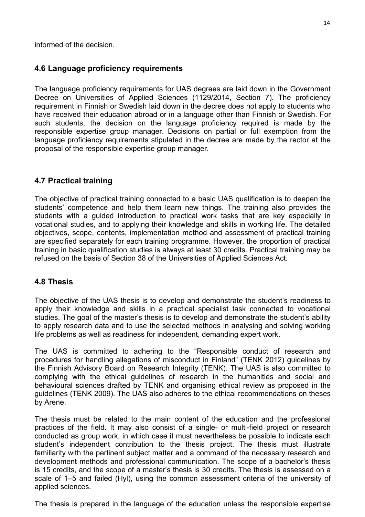informed of the decision.

## <span id="page-13-0"></span>**4.6 Language proficiency requirements**

The language proficiency requirements for UAS degrees are laid down in the Government Decree on Universities of Applied Sciences (1129/2014, Section 7). The proficiency requirement in Finnish or Swedish laid down in the decree does not apply to students who have received their education abroad or in a language other than Finnish or Swedish. For such students, the decision on the language proficiency required is made by the responsible expertise group manager. Decisions on partial or full exemption from the language proficiency requirements stipulated in the decree are made by the rector at the proposal of the responsible expertise group manager.

## <span id="page-13-1"></span>**4.7 Practical training**

The objective of practical training connected to a basic UAS qualification is to deepen the students' competence and help them learn new things. The training also provides the students with a guided introduction to practical work tasks that are key especially in vocational studies, and to applying their knowledge and skills in working life. The detailed objectives, scope, contents, implementation method and assessment of practical training are specified separately for each training programme. However, the proportion of practical training in basic qualification studies is always at least 30 credits. Practical training may be refused on the basis of Section 38 of the Universities of Applied Sciences Act.

## <span id="page-13-2"></span>**4.8 Thesis**

The objective of the UAS thesis is to develop and demonstrate the student's readiness to apply their knowledge and skills in a practical specialist task connected to vocational studies. The goal of the master's thesis is to develop and demonstrate the student's ability to apply research data and to use the selected methods in analysing and solving working life problems as well as readiness for independent, demanding expert work.

The UAS is committed to adhering to the "Responsible conduct of research and procedures for handling allegations of misconduct in Finland" (TENK 2012) guidelines by the Finnish Advisory Board on Research Integrity (TENK). The UAS is also committed to complying with the ethical guidelines of research in the humanities and social and behavioural sciences drafted by TENK and organising ethical review as proposed in the guidelines (TENK 2009). The UAS also adheres to the ethical recommendations on theses by Arene.

The thesis must be related to the main content of the education and the professional practices of the field. It may also consist of a single- or multi-field project or research conducted as group work, in which case it must nevertheless be possible to indicate each student's independent contribution to the thesis project. The thesis must illustrate familiarity with the pertinent subject matter and a command of the necessary research and development methods and professional communication. The scope of a bachelor's thesis is 15 credits, and the scope of a master's thesis is 30 credits. The thesis is assessed on a scale of 1–5 and failed (Hyl), using the common assessment criteria of the university of applied sciences.

The thesis is prepared in the language of the education unless the responsible expertise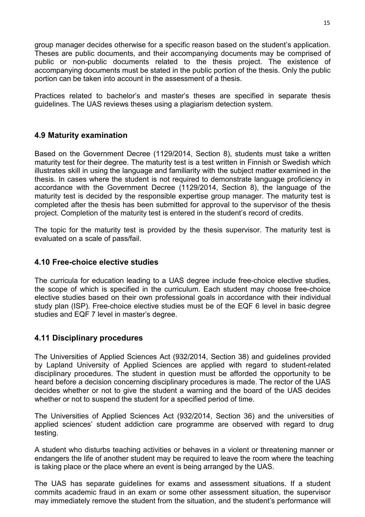group manager decides otherwise for a specific reason based on the student's application. Theses are public documents, and their accompanying documents may be comprised of public or non-public documents related to the thesis project. The existence of accompanying documents must be stated in the public portion of the thesis. Only the public portion can be taken into account in the assessment of a thesis.

Practices related to bachelor's and master's theses are specified in separate thesis guidelines. The UAS reviews theses using a plagiarism detection system.

## <span id="page-14-0"></span>**4.9 Maturity examination**

Based on the Government Decree (1129/2014, Section 8), students must take a written maturity test for their degree. The maturity test is a test written in Finnish or Swedish which illustrates skill in using the language and familiarity with the subject matter examined in the thesis. In cases where the student is not required to demonstrate language proficiency in accordance with the Government Decree (1129/2014, Section 8), the language of the maturity test is decided by the responsible expertise group manager. The maturity test is completed after the thesis has been submitted for approval to the supervisor of the thesis project. Completion of the maturity test is entered in the student's record of credits.

The topic for the maturity test is provided by the thesis supervisor. The maturity test is evaluated on a scale of pass/fail.

## <span id="page-14-1"></span>**4.10 Free-choice elective studies**

The curricula for education leading to a UAS degree include free-choice elective studies, the scope of which is specified in the curriculum. Each student may choose free-choice elective studies based on their own professional goals in accordance with their individual study plan (ISP). Free-choice elective studies must be of the EQF 6 level in basic degree studies and EQF 7 level in master's degree.

## <span id="page-14-2"></span>**4.11 Disciplinary procedures**

The Universities of Applied Sciences Act (932/2014, Section 38) and guidelines provided by Lapland University of Applied Sciences are applied with regard to student-related disciplinary procedures. The student in question must be afforded the opportunity to be heard before a decision concerning disciplinary procedures is made. The rector of the UAS decides whether or not to give the student a warning and the board of the UAS decides whether or not to suspend the student for a specified period of time.

The Universities of Applied Sciences Act (932/2014, Section 36) and the universities of applied sciences' student addiction care programme are observed with regard to drug testing.

A student who disturbs teaching activities or behaves in a violent or threatening manner or endangers the life of another student may be required to leave the room where the teaching is taking place or the place where an event is being arranged by the UAS.

The UAS has separate guidelines for exams and assessment situations. If a student commits academic fraud in an exam or some other assessment situation, the supervisor may immediately remove the student from the situation, and the student's performance will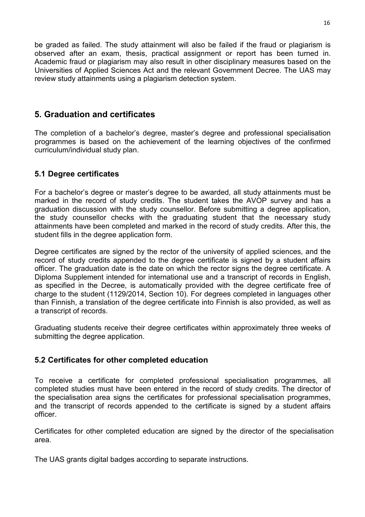be graded as failed. The study attainment will also be failed if the fraud or plagiarism is observed after an exam, thesis, practical assignment or report has been turned in. Academic fraud or plagiarism may also result in other disciplinary measures based on the Universities of Applied Sciences Act and the relevant Government Decree. The UAS may review study attainments using a plagiarism detection system.

# <span id="page-15-0"></span>**5. Graduation and certificates**

The completion of a bachelor's degree, master's degree and professional specialisation programmes is based on the achievement of the learning objectives of the confirmed curriculum/individual study plan.

# <span id="page-15-1"></span>**5.1 Degree certificates**

For a bachelor's degree or master's degree to be awarded, all study attainments must be marked in the record of study credits. The student takes the AVOP survey and has a graduation discussion with the study counsellor. Before submitting a degree application, the study counsellor checks with the graduating student that the necessary study attainments have been completed and marked in the record of study credits. After this, the student fills in the degree application form.

Degree certificates are signed by the rector of the university of applied sciences, and the record of study credits appended to the degree certificate is signed by a student affairs officer. The graduation date is the date on which the rector signs the degree certificate. A Diploma Supplement intended for international use and a transcript of records in English, as specified in the Decree, is automatically provided with the degree certificate free of charge to the student (1129/2014, Section 10). For degrees completed in languages other than Finnish, a translation of the degree certificate into Finnish is also provided, as well as a transcript of records.

Graduating students receive their degree certificates within approximately three weeks of submitting the degree application.

# <span id="page-15-2"></span>**5.2 Certificates for other completed education**

To receive a certificate for completed professional specialisation programmes, all completed studies must have been entered in the record of study credits. The director of the specialisation area signs the certificates for professional specialisation programmes, and the transcript of records appended to the certificate is signed by a student affairs officer.

Certificates for other completed education are signed by the director of the specialisation area.

The UAS grants digital badges according to separate instructions.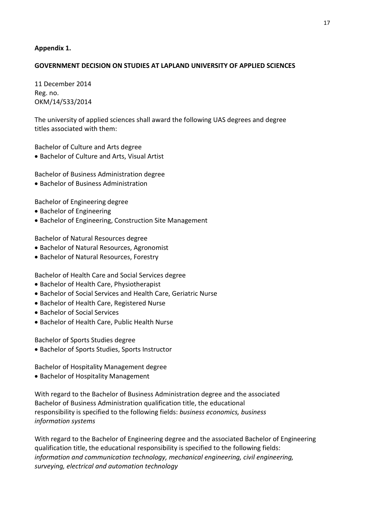#### <span id="page-16-0"></span>**Appendix 1.**

#### **GOVERNMENT DECISION ON STUDIES AT LAPLAND UNIVERSITY OF APPLIED SCIENCES**

11 December 2014 Reg. no. OKM/14/533/2014

The university of applied sciences shall award the following UAS degrees and degree titles associated with them:

Bachelor of Culture and Arts degree

• Bachelor of Culture and Arts, Visual Artist

Bachelor of Business Administration degree

• Bachelor of Business Administration

Bachelor of Engineering degree

- Bachelor of Engineering
- Bachelor of Engineering, Construction Site Management

Bachelor of Natural Resources degree

- Bachelor of Natural Resources, Agronomist
- Bachelor of Natural Resources, Forestry

Bachelor of Health Care and Social Services degree

- Bachelor of Health Care, Physiotherapist
- Bachelor of Social Services and Health Care, Geriatric Nurse
- Bachelor of Health Care, Registered Nurse
- Bachelor of Social Services
- Bachelor of Health Care, Public Health Nurse

Bachelor of Sports Studies degree

• Bachelor of Sports Studies, Sports Instructor

Bachelor of Hospitality Management degree

• Bachelor of Hospitality Management

With regard to the Bachelor of Business Administration degree and the associated Bachelor of Business Administration qualification title, the educational responsibility is specified to the following fields: *business economics, business information systems*

With regard to the Bachelor of Engineering degree and the associated Bachelor of Engineering qualification title, the educational responsibility is specified to the following fields: *information and communication technology, mechanical engineering, civil engineering, surveying, electrical and automation technology*